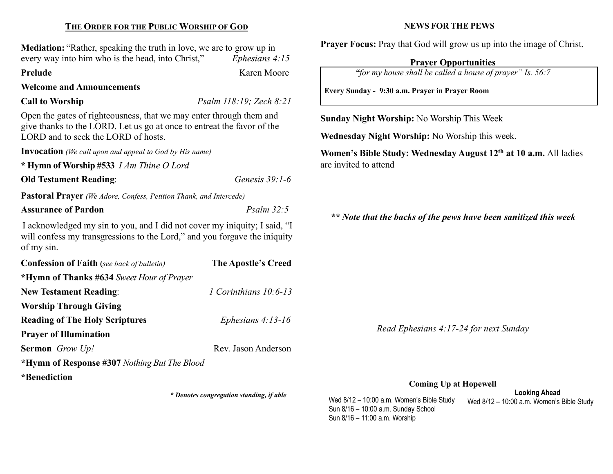# THE ORDER FOR THE PUBLIC WORSHIP OF GOD

Mediation: "Rather, speaking the truth in love, we are to grow up in every way into him who is the head, into Christ," Ephesians 4:15

Prelude Karen Moore

# Welcome and Announcements

Call to Worship Psalm 118:19; Zech 8:21

Open the gates of righteousness, that we may enter through them and give thanks to the LORD. Let us go at once to entreat the favor of the LORD and to seek the LORD of hosts.

Invocation (We call upon and appeal to God by His name)

\* Hymn of Worship #533 I Am Thine O Lord

# Old Testament Reading: Genesis 39:1-6

Pastoral Prayer (We Adore, Confess, Petition Thank, and Intercede)

# Assurance of Pardon Psalm 32:5

I acknowledged my sin to you, and I did not cover my iniquity; I said, "I will confess my transgressions to the Lord," and you for gave the iniquity of my sin.

| <b>Confession of Faith</b> (see back of bulletin) | <b>The Apostle's Creed</b> |
|---------------------------------------------------|----------------------------|
| *Hymn of Thanks #634 Sweet Hour of Prayer         |                            |
| <b>New Testament Reading:</b>                     | 1 Corinthians $10:6-13$    |
| <b>Worship Through Giving</b>                     |                            |
| <b>Reading of The Holy Scriptures</b>             | Ephesians $4:13-16$        |
| <b>Prayer of Illumination</b>                     |                            |
| <b>Sermon</b> Grow Up!                            | Rev. Jason Anderson        |
| *Hymn of Response #307 Nothing But The Blood      |                            |
| *Benediction                                      |                            |

\* Denotes congregation standing, if able

## NEWS FOR THE PEWS

Prayer Focus: Pray that God will grow us up into the image of Christ.

# Prayer Opportunities

"for my house shall be called a house of prayer" Is. 56:7

Every Sunday - 9:30 a.m. Prayer in Prayer Room

Sunday Night Worship: No Worship This Week

Wednesday Night Worship: No Worship this week.

Women's Bible Study: Wednesday August 12<sup>th</sup> at 10 a.m. All ladies are invited to attend

\*\* Note that the backs of the pews have been sanitized this week

Read Ephesians 4:17-24 for next Sunday

### Coming Up at Hopewell

Looking Ahead Wed 8/12 – 10:00 a.m. Women's Bible Study Wed 8/12 – 10:00 a.m. Women's Bible Study Sun 8/16 – 10:00 a.m. Sunday School Sun 8/16 – 11:00 a.m. Worship